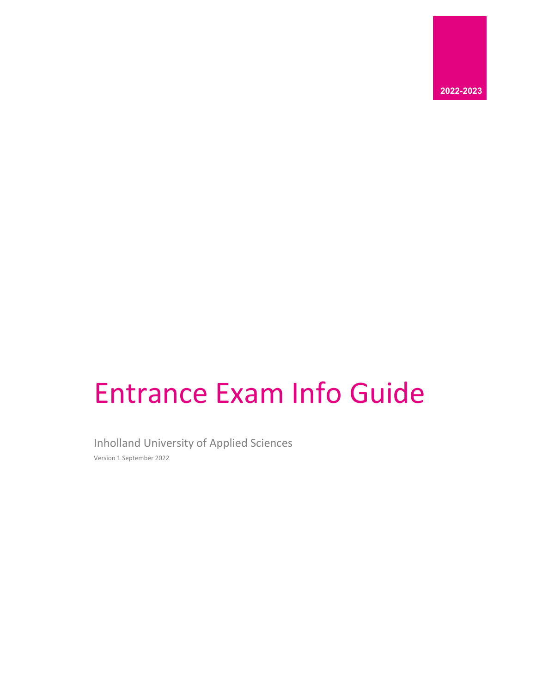

# Entrance Exam Info Guide

Inholland University of Applied Sciences

Version 1 September 2022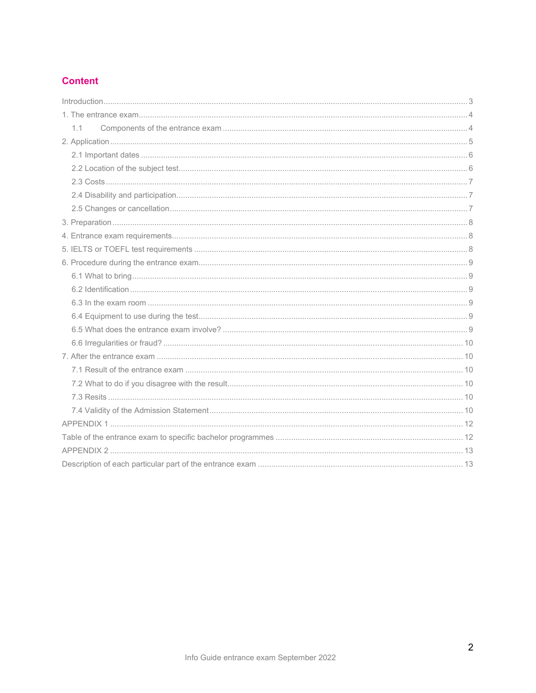## **Content**

| $ 3 3$ |  |
|--------|--|
|        |  |
| 1.1    |  |
|        |  |
|        |  |
|        |  |
|        |  |
|        |  |
|        |  |
|        |  |
|        |  |
|        |  |
|        |  |
|        |  |
|        |  |
|        |  |
|        |  |
|        |  |
|        |  |
|        |  |
|        |  |
|        |  |
|        |  |
|        |  |
|        |  |
|        |  |
|        |  |
|        |  |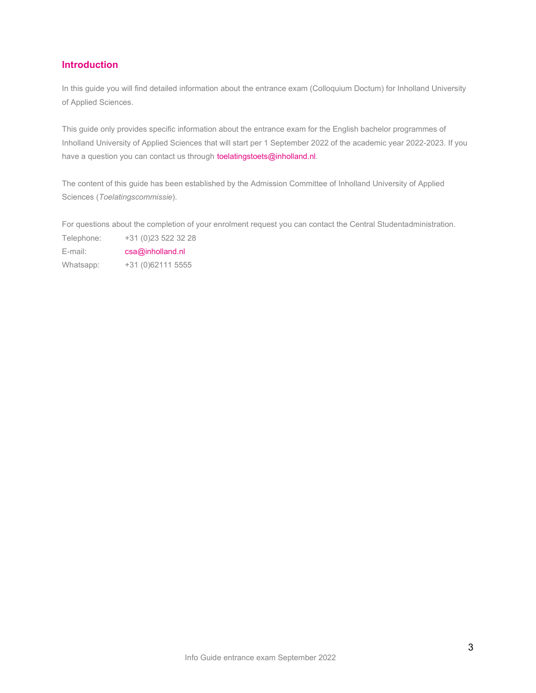## <span id="page-2-0"></span>**Introduction**

In this guide you will find detailed information about the entrance exam (Colloquium Doctum) for Inholland University of Applied Sciences.

This guide only provides specific information about the entrance exam for the English bachelor programmes of Inholland University of Applied Sciences that will start per 1 September 2022 of the academic year 2022-2023. If you have a question you can contact us through [toelatingstoets@inholland.nl.](mailto:toelatingstoets@inholland.nl)

The content of this guide has been established by the Admission Committee of Inholland University of Applied Sciences (*Toelatingscommissie*).

For questions about the completion of your enrolment request you can contact the Central Studentadministration.

Telephone: +31 (0)23 522 32 28 E-mail: [csa@inholland.nl](mailto:csa@inholland.nl)

Whatsapp: +31 (0)62111 5555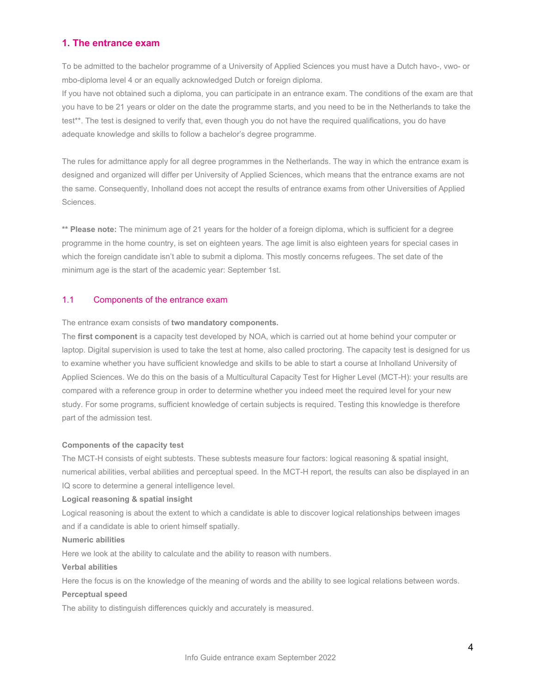## <span id="page-3-0"></span>**1. The entrance exam**

To be admitted to the bachelor programme of a University of Applied Sciences you must have a Dutch havo-, vwo- or mbo-diploma level 4 or an equally acknowledged Dutch or foreign diploma.

If you have not obtained such a diploma, you can participate in an entrance exam. The conditions of the exam are that you have to be 21 years or older on the date the programme starts, and you need to be in the Netherlands to take the test\*\*. The test is designed to verify that, even though you do not have the required qualifications, you do have adequate knowledge and skills to follow a bachelor's degree programme.

The rules for admittance apply for all degree programmes in the Netherlands. The way in which the entrance exam is designed and organized will differ per University of Applied Sciences, which means that the entrance exams are not the same. Consequently, Inholland does not accept the results of entrance exams from other Universities of Applied Sciences.

**\*\* Please note:** The minimum age of 21 years for the holder of a foreign diploma, which is sufficient for a degree programme in the home country, is set on eighteen years. The age limit is also eighteen years for special cases in which the foreign candidate isn't able to submit a diploma. This mostly concerns refugees. The set date of the minimum age is the start of the academic year: September 1st.

## <span id="page-3-1"></span>1.1 Components of the entrance exam

The entrance exam consists of **two mandatory components.**

The **first component** is a capacity test developed by NOA, which is carried out at home behind your computer or laptop. Digital supervision is used to take the test at home, also called proctoring. The capacity test is designed for us to examine whether you have sufficient knowledge and skills to be able to start a course at Inholland University of Applied Sciences. We do this on the basis of a Multicultural Capacity Test for Higher Level (MCT-H): your results are compared with a reference group in order to determine whether you indeed meet the required level for your new study. For some programs, sufficient knowledge of certain subjects is required. Testing this knowledge is therefore part of the admission test.

### **Components of the capacity test**

The MCT-H consists of eight subtests. These subtests measure four factors: logical reasoning & spatial insight, numerical abilities, verbal abilities and perceptual speed. In the MCT-H report, the results can also be displayed in an IQ score to determine a general intelligence level.

### **Logical reasoning & spatial insight**

Logical reasoning is about the extent to which a candidate is able to discover logical relationships between images and if a candidate is able to orient himself spatially.

#### **Numeric abilities**

Here we look at the ability to calculate and the ability to reason with numbers.

#### **Verbal abilities**

Here the focus is on the knowledge of the meaning of words and the ability to see logical relations between words.

## **Perceptual speed**

The ability to distinguish differences quickly and accurately is measured.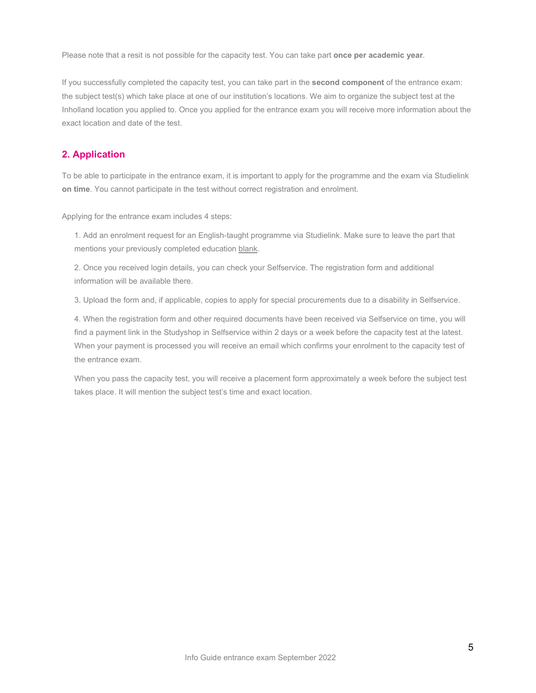Please note that a resit is not possible for the capacity test. You can take part **once per academic year**.

If you successfully completed the capacity test, you can take part in the **second component** of the entrance exam: the subject test(s) which take place at one of our institution's locations. We aim to organize the subject test at the Inholland location you applied to. Once you applied for the entrance exam you will receive more information about the exact location and date of the test.

## <span id="page-4-0"></span>**2. Application**

To be able to participate in the entrance exam, it is important to apply for the programme and the exam via Studielink **on time**. You cannot participate in the test without correct registration and enrolment.

Applying for the entrance exam includes 4 steps:

1. Add an enrolment request for an English-taught programme via Studielink. Make sure to leave the part that mentions your previously completed education blank.

2. Once you received login details, you can check your Selfservice. The registration form and additional information will be available there.

3. Upload the form and, if applicable, copies to apply for special procurements due to a disability in Selfservice.

4. When the registration form and other required documents have been received via Selfservice on time, you will find a payment link in the Studyshop in Selfservice within 2 days or a week before the capacity test at the latest. When your payment is processed you will receive an email which confirms your enrolment to the capacity test of the entrance exam.

When you pass the capacity test, you will receive a placement form approximately a week before the subject test takes place. It will mention the subject test's time and exact location.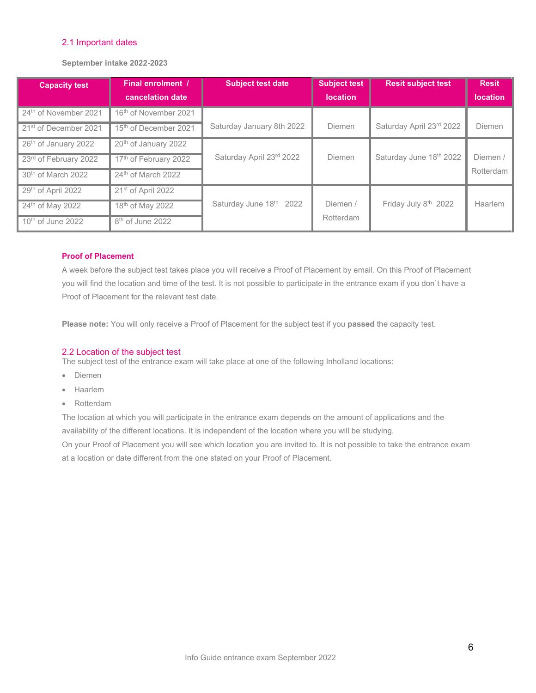## <span id="page-5-0"></span>2.1 Important dates

**September intake 2022-2023**

| <b>Capacity test</b>              | Final enrolment /                 | <b>Subject test date</b>  | <b>Subject test</b> | <b>Resit subject test</b> | <b>Resit</b>    |
|-----------------------------------|-----------------------------------|---------------------------|---------------------|---------------------------|-----------------|
|                                   | cancelation date                  |                           | <b>location</b>     |                           | <b>location</b> |
| 24 <sup>th</sup> of November 2021 | 16 <sup>th</sup> of November 2021 |                           |                     |                           |                 |
| 21 <sup>st</sup> of December 2021 | 15 <sup>th</sup> of December 2021 | Saturday January 8th 2022 | Diemen              | Saturday April 23rd 2022  | Diemen          |
| 26 <sup>th</sup> of January 2022  | 20 <sup>th</sup> of January 2022  |                           |                     |                           |                 |
| 23rd of February 2022             | 17th of February 2022             | Saturday April 23rd 2022  | Diemen              | Saturday June 18th 2022   | Diemen          |
| 30 <sup>th</sup> of March 2022    | 24 <sup>th</sup> of March 2022    |                           |                     |                           | Rotterdam       |
| 29th of April 2022                | 21 <sup>st</sup> of April 2022    |                           |                     |                           |                 |
| 24 <sup>th</sup> of May 2022      | 18 <sup>th</sup> of May 2022      | Saturday June 18th 2022   | Diemen /            | Friday July 8th 2022      | Haarlem         |
| 10 <sup>th</sup> of June 2022     | 8 <sup>th</sup> of June 2022      |                           | Rotterdam           |                           |                 |

## **Proof of Placement**

A week before the subject test takes place you will receive a Proof of Placement by email. On this Proof of Placement you will find the location and time of the test. It is not possible to participate in the entrance exam if you don`t have a Proof of Placement for the relevant test date.

**Please note:** You will only receive a Proof of Placement for the subject test if you **passed** the capacity test.

## <span id="page-5-1"></span>2.2 Location of the subject test

The subject test of the entrance exam will take place at one of the following Inholland locations:

- Diemen
- Haarlem
- Rotterdam

The location at which you will participate in the entrance exam depends on the amount of applications and the availability of the different locations. It is independent of the location where you will be studying.

On your Proof of Placement you will see which location you are invited to. It is not possible to take the entrance exam at a location or date different from the one stated on your Proof of Placement.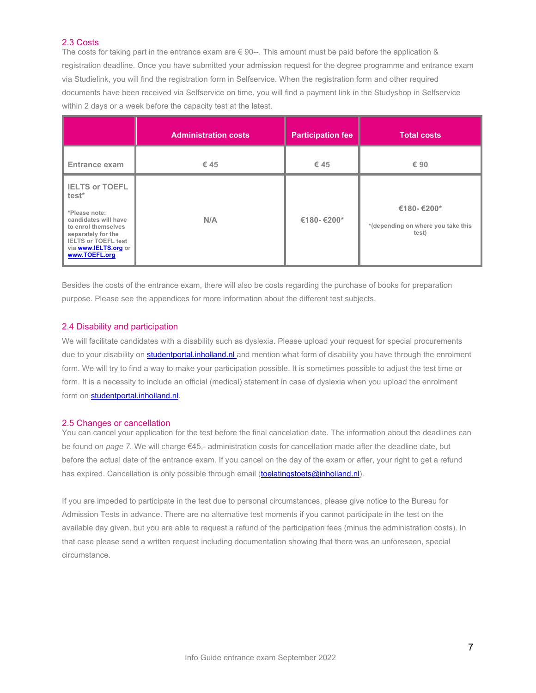## <span id="page-6-0"></span>2.3 Costs

The costs for taking part in the entrance exam are  $\epsilon$  90--. This amount must be paid before the application & registration deadline. Once you have submitted your admission request for the degree programme and entrance exam via Studielink, you will find the registration form in Selfservice. When the registration form and other required documents have been received via Selfservice on time, you will find a payment link in the Studyshop in Selfservice within 2 days or a week before the capacity test at the latest.

|                                                                                                                                                                                                                | <b>Administration costs</b> | <b>Participation fee</b> | <b>Total costs</b>                                        |
|----------------------------------------------------------------------------------------------------------------------------------------------------------------------------------------------------------------|-----------------------------|--------------------------|-----------------------------------------------------------|
| <b>Entrance exam</b>                                                                                                                                                                                           | € 45                        | €45                      | € 90                                                      |
| <b>IELTS or TOEFL</b><br>test <sup>*</sup><br>*Please note:<br>candidates will have<br>to enrol themselves<br>separately for the<br><b>IELTS or TOEFL test</b><br>via <b>www.IELTS.org</b> or<br>www.TOEFL.org | N/A                         | €180-€200*               | €180-€200*<br>*(depending on where you take this<br>test) |

Besides the costs of the entrance exam, there will also be costs regarding the purchase of books for preparation purpose. Please see the appendices for more information about the different test subjects.

## <span id="page-6-1"></span>2.4 Disability and participation

We will facilitate candidates with a disability such as dyslexia. Please upload your request for special procurements due to your disability on [studentportal.inholland.nl](https://campussolutions.inholland.nl/psp/CS92PRD/EMPLOYEE/SA/?cmd=logout) and mention what form of disability you have through the enrolment form. We will try to find a way to make your participation possible. It is sometimes possible to adjust the test time or form. It is a necessity to include an official (medical) statement in case of dyslexia when you upload the enrolment form on [studentportal.inholland.nl.](http://www.studentportal.inholland.nl/)

## <span id="page-6-2"></span>2.5 Changes or cancellation

You can cancel your application for the test before the final cancelation date. The information about the deadlines can be found on *page 7.* We will charge €45,- administration costs for cancellation made after the deadline date, but before the actual date of the entrance exam. If you cancel on the day of the exam or after, your right to get a refund has expired. Cancellation is only possible through email [\(toelatingstoets@inholland.nl\)](mailto:toelatingstoets@inholland.nl).

If you are impeded to participate in the test due to personal circumstances, please give notice to the Bureau for Admission Tests in advance. There are no alternative test moments if you cannot participate in the test on the available day given, but you are able to request a refund of the participation fees (minus the administration costs). In that case please send a written request including documentation showing that there was an unforeseen, special circumstance.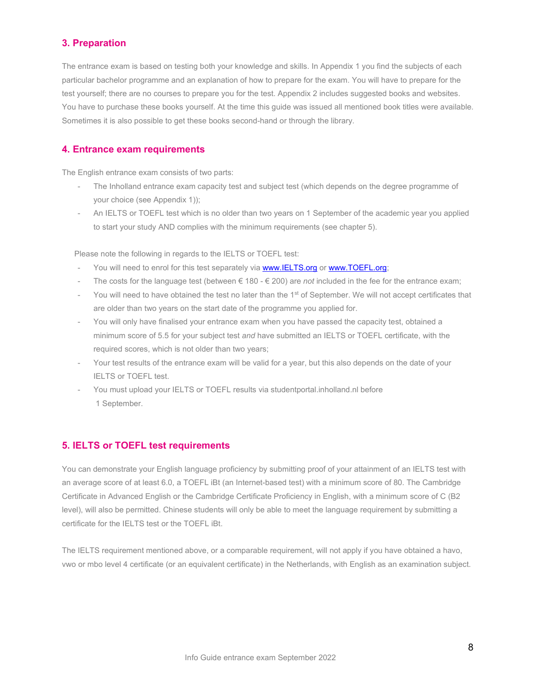## <span id="page-7-0"></span>**3. Preparation**

The entrance exam is based on testing both your knowledge and skills. In Appendix 1 you find the subjects of each particular bachelor programme and an explanation of how to prepare for the exam. You will have to prepare for the test yourself; there are no courses to prepare you for the test. Appendix 2 includes suggested books and websites. You have to purchase these books yourself. At the time this guide was issued all mentioned book titles were available. Sometimes it is also possible to get these books second-hand or through the library.

## <span id="page-7-1"></span>**4. Entrance exam requirements**

The English entrance exam consists of two parts:

- The Inholland entrance exam capacity test and subject test (which depends on the degree programme of your choice (see Appendix 1));
- An IELTS or TOEFL test which is no older than two years on 1 September of the academic year you applied to start your study AND complies with the minimum requirements (see chapter 5).

Please note the following in regards to the IELTS or TOEFL test:

- You will need to enrol for this test separately via [www.IELTS.org](http://www.ielts.org/) o[r www.TOEFL.org;](http://www.toefl.org/)
- The costs for the language test (between € 180 € 200) are *not* included in the fee for the entrance exam;
- You will need to have obtained the test no later than the 1<sup>st</sup> of September. We will not accept certificates that are older than two years on the start date of the programme you applied for.
- You will only have finalised your entrance exam when you have passed the capacity test, obtained a minimum score of 5.5 for your subject test *and* have submitted an IELTS or TOEFL certificate, with the required scores, which is not older than two years;
- Your test results of the entrance exam will be valid for a year, but this also depends on the date of your IELTS or TOEFL test.
- You must upload your IELTS or TOEFL results via studentportal.inholland.nl before 1 September.

## <span id="page-7-2"></span>**5. IELTS or TOEFL test requirements**

You can demonstrate your English language proficiency by submitting proof of your attainment of an IELTS test with an average score of at least 6.0, a TOEFL iBt (an Internet-based test) with a minimum score of 80. The Cambridge Certificate in Advanced English or the Cambridge Certificate Proficiency in English, with a minimum score of C (B2 level), will also be permitted. Chinese students will only be able to meet the language requirement by submitting a certificate for the IELTS test or the TOEFL iBt.

The IELTS requirement mentioned above, or a comparable requirement, will not apply if you have obtained a havo, vwo or mbo level 4 certificate (or an equivalent certificate) in the Netherlands, with English as an examination subject.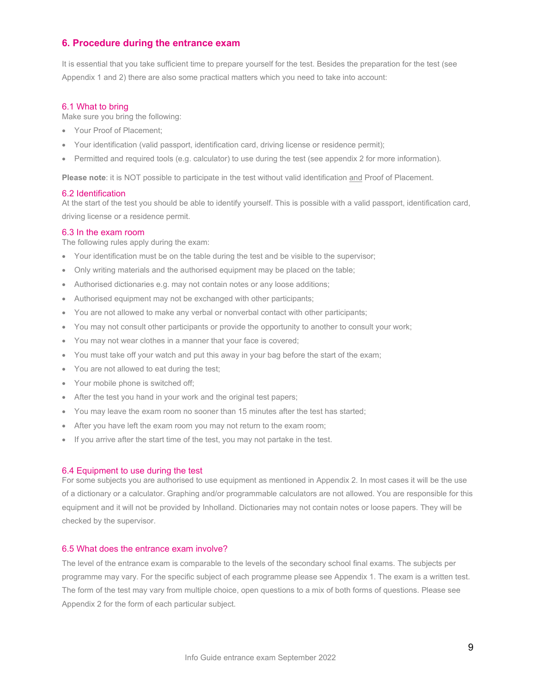## <span id="page-8-0"></span>**6. Procedure during the entrance exam**

It is essential that you take sufficient time to prepare yourself for the test. Besides the preparation for the test (see Appendix 1 and 2) there are also some practical matters which you need to take into account:

#### <span id="page-8-1"></span>6.1 What to bring

Make sure you bring the following:

- Your Proof of Placement;
- Your identification (valid passport, identification card, driving license or residence permit);
- Permitted and required tools (e.g. calculator) to use during the test (see appendix 2 for more information).

**Please note**: it is NOT possible to participate in the test without valid identification and Proof of Placement.

#### <span id="page-8-2"></span>6.2 Identification

At the start of the test you should be able to identify yourself. This is possible with a valid passport, identification card, driving license or a residence permit.

#### <span id="page-8-3"></span>6.3 In the exam room

The following rules apply during the exam:

- Your identification must be on the table during the test and be visible to the supervisor;
- Only writing materials and the authorised equipment may be placed on the table;
- Authorised dictionaries e.g. may not contain notes or any loose additions;
- Authorised equipment may not be exchanged with other participants;
- You are not allowed to make any verbal or nonverbal contact with other participants;
- You may not consult other participants or provide the opportunity to another to consult your work;
- You may not wear clothes in a manner that your face is covered;
- You must take off your watch and put this away in your bag before the start of the exam;
- You are not allowed to eat during the test;
- Your mobile phone is switched off;
- After the test you hand in your work and the original test papers;
- You may leave the exam room no sooner than 15 minutes after the test has started;
- After you have left the exam room you may not return to the exam room;
- If you arrive after the start time of the test, you may not partake in the test.

#### <span id="page-8-4"></span>6.4 Equipment to use during the test

For some subjects you are authorised to use equipment as mentioned in Appendix 2. In most cases it will be the use of a dictionary or a calculator. Graphing and/or programmable calculators are not allowed. You are responsible for this equipment and it will not be provided by Inholland. Dictionaries may not contain notes or loose papers. They will be checked by the supervisor.

## <span id="page-8-5"></span>6.5 What does the entrance exam involve?

The level of the entrance exam is comparable to the levels of the secondary school final exams. The subjects per programme may vary. For the specific subject of each programme please see Appendix 1. The exam is a written test. The form of the test may vary from multiple choice, open questions to a mix of both forms of questions. Please see Appendix 2 for the form of each particular subject.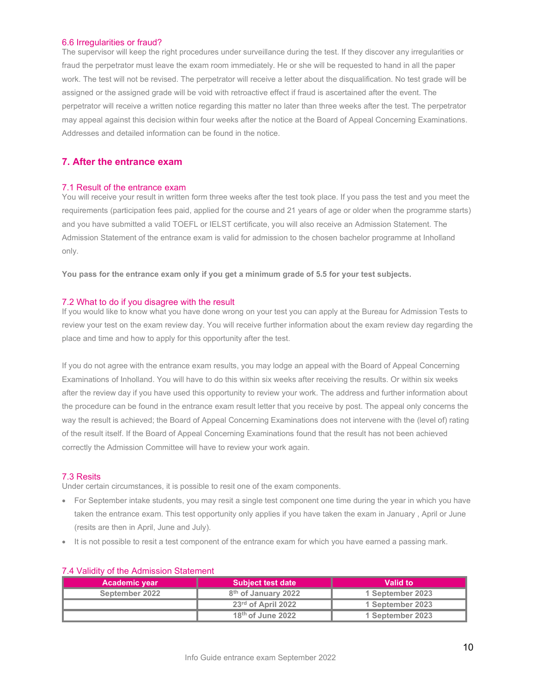#### <span id="page-9-0"></span>6.6 Irregularities or fraud?

The supervisor will keep the right procedures under surveillance during the test. If they discover any irregularities or fraud the perpetrator must leave the exam room immediately. He or she will be requested to hand in all the paper work. The test will not be revised. The perpetrator will receive a letter about the disqualification. No test grade will be assigned or the assigned grade will be void with retroactive effect if fraud is ascertained after the event. The perpetrator will receive a written notice regarding this matter no later than three weeks after the test. The perpetrator may appeal against this decision within four weeks after the notice at the Board of Appeal Concerning Examinations. Addresses and detailed information can be found in the notice.

## <span id="page-9-1"></span>**7. After the entrance exam**

#### <span id="page-9-2"></span>7.1 Result of the entrance exam

You will receive your result in written form three weeks after the test took place. If you pass the test and you meet the requirements (participation fees paid, applied for the course and 21 years of age or older when the programme starts) and you have submitted a valid TOEFL or IELST certificate, you will also receive an Admission Statement. The Admission Statement of the entrance exam is valid for admission to the chosen bachelor programme at Inholland only.

**You pass for the entrance exam only if you get a minimum grade of 5.5 for your test subjects.**

#### <span id="page-9-3"></span>7.2 What to do if you disagree with the result

If you would like to know what you have done wrong on your test you can apply at the Bureau for Admission Tests to review your test on the exam review day. You will receive further information about the exam review day regarding the place and time and how to apply for this opportunity after the test.

If you do not agree with the entrance exam results, you may lodge an appeal with the Board of Appeal Concerning Examinations of Inholland. You will have to do this within six weeks after receiving the results. Or within six weeks after the review day if you have used this opportunity to review your work. The address and further information about the procedure can be found in the entrance exam result letter that you receive by post. The appeal only concerns the way the result is achieved; the Board of Appeal Concerning Examinations does not intervene with the (level of) rating of the result itself. If the Board of Appeal Concerning Examinations found that the result has not been achieved correctly the Admission Committee will have to review your work again.

#### <span id="page-9-4"></span>7.3 Resits

Under certain circumstances, it is possible to resit one of the exam components.

- For September intake students, you may resit a single test component one time during the year in which you have taken the entrance exam. This test opportunity only applies if you have taken the exam in January , April or June (resits are then in April, June and July).
- It is not possible to resit a test component of the entrance exam for which you have earned a passing mark.

| <b>Academic year</b> | <b>Subject test date</b>        | Valid to         |
|----------------------|---------------------------------|------------------|
| September 2022       | 8 <sup>th</sup> of January 2022 | 1 September 2023 |
|                      | $23rd$ of April 2022            | 1 September 2023 |
|                      | $18th$ of June 2022             | 1 September 2023 |

## <span id="page-9-5"></span>7.4 Validity of the Admission Statement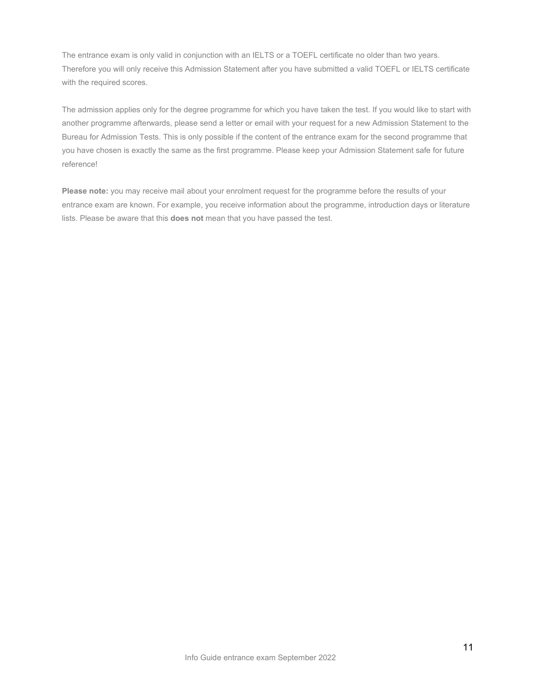The entrance exam is only valid in conjunction with an IELTS or a TOEFL certificate no older than two years. Therefore you will only receive this Admission Statement after you have submitted a valid TOEFL or IELTS certificate with the required scores.

The admission applies only for the degree programme for which you have taken the test. If you would like to start with another programme afterwards, please send a letter or email with your request for a new Admission Statement to the Bureau for Admission Tests. This is only possible if the content of the entrance exam for the second programme that you have chosen is exactly the same as the first programme. Please keep your Admission Statement safe for future reference!

**Please note:** you may receive mail about your enrolment request for the programme before the results of your entrance exam are known. For example, you receive information about the programme, introduction days or literature lists. Please be aware that this **does not** mean that you have passed the test.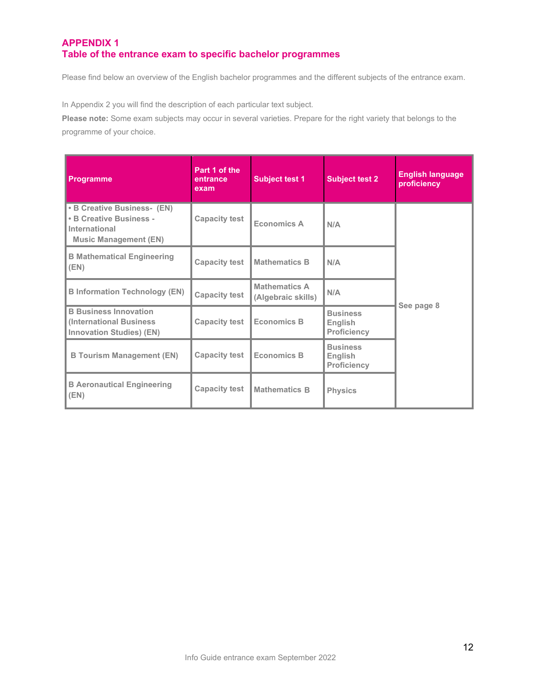## <span id="page-11-1"></span><span id="page-11-0"></span>**APPENDIX 1 Table of the entrance exam to specific bachelor programmes**

Please find below an overview of the English bachelor programmes and the different subjects of the entrance exam.

In Appendix 2 you will find the description of each particular text subject.

**Please note:** Some exam subjects may occur in several varieties. Prepare for the right variety that belongs to the programme of your choice.

| <b>Programme</b>                                                                                        | Part 1 of the<br>entrance<br>exam | <b>Subject test 1</b>                      | <b>Subject test 2</b>                            | <b>English language</b><br>proficiency |
|---------------------------------------------------------------------------------------------------------|-----------------------------------|--------------------------------------------|--------------------------------------------------|----------------------------------------|
| • B Creative Business- (EN)<br>• B Creative Business -<br>International<br><b>Music Management (EN)</b> | <b>Capacity test</b>              | <b>Economics A</b>                         | N/A                                              |                                        |
| <b>B Mathematical Engineering</b><br>(EN)                                                               | <b>Capacity test</b>              | <b>Mathematics B</b>                       | N/A                                              |                                        |
| <b>B Information Technology (EN)</b>                                                                    | <b>Capacity test</b>              | <b>Mathematics A</b><br>(Algebraic skills) | N/A                                              |                                        |
| <b>B Business Innovation</b><br><b>(International Business)</b><br><b>Innovation Studies) (EN)</b>      | <b>Capacity test</b>              | <b>Economics B</b>                         | <b>Business</b><br>English<br><b>Proficiency</b> | See page 8                             |
| <b>B Tourism Management (EN)</b>                                                                        | <b>Capacity test</b>              | <b>Economics B</b>                         | <b>Business</b><br>English<br><b>Proficiency</b> |                                        |
| <b>B Aeronautical Engineering</b><br>(EN)                                                               | <b>Capacity test</b>              | <b>Mathematics B</b>                       | <b>Physics</b>                                   |                                        |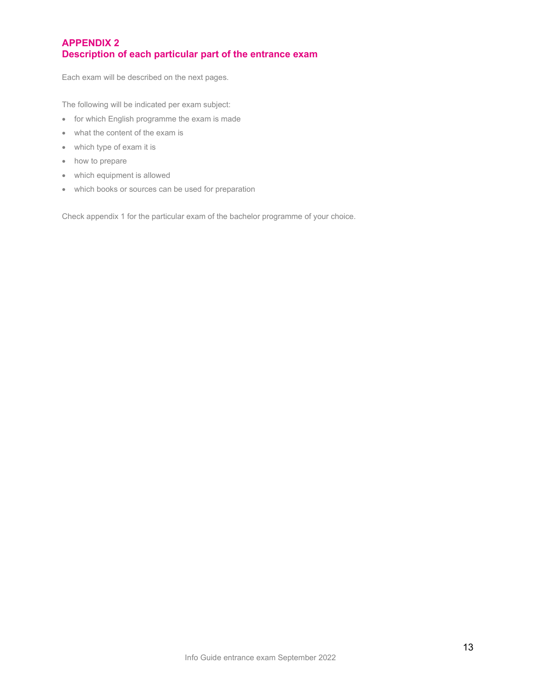## <span id="page-12-1"></span><span id="page-12-0"></span>**APPENDIX 2 Description of each particular part of the entrance exam**

Each exam will be described on the next pages.

The following will be indicated per exam subject:

- for which English programme the exam is made
- what the content of the exam is
- which type of exam it is
- how to prepare
- which equipment is allowed
- which books or sources can be used for preparation

Check appendix 1 for the particular exam of the bachelor programme of your choice.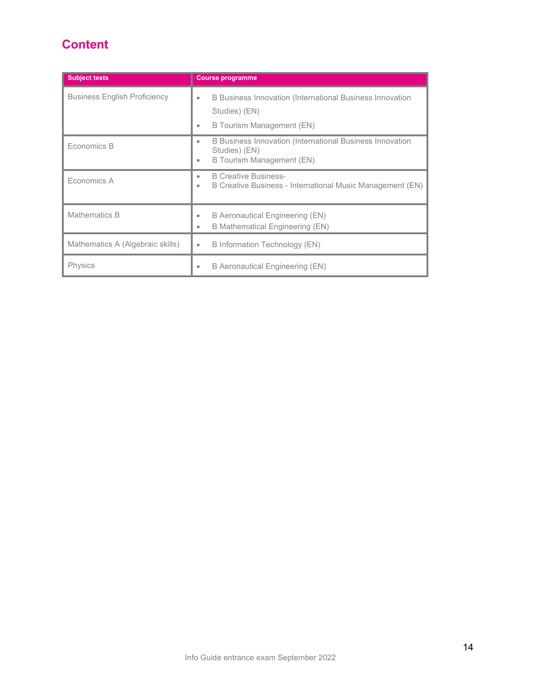# **Content**

| <b>Subject tests</b>                | <b>Course programme</b>                                                                                                  |
|-------------------------------------|--------------------------------------------------------------------------------------------------------------------------|
| <b>Business English Proficiency</b> | B Business Innovation (International Business Innovation<br>$\bullet$<br>Studies) (EN)<br>B Tourism Management (EN)<br>۰ |
| Economics B                         | B Business Innovation (International Business Innovation<br>۰<br>Studies) (EN)<br>B Tourism Management (EN)<br>۰         |
| Fconomics A                         | <b>B Creative Business-</b><br>B Creative Business - International Music Management (EN)<br>۰                            |
| Mathematics B                       | B Aeronautical Engineering (EN)<br>B Mathematical Engineering (EN)                                                       |
| Mathematics A (Algebraic skills)    | <b>B</b> Information Technology (EN)<br>$\bullet$                                                                        |
| <b>Physics</b>                      | B Aeronautical Engineering (EN)<br>۰                                                                                     |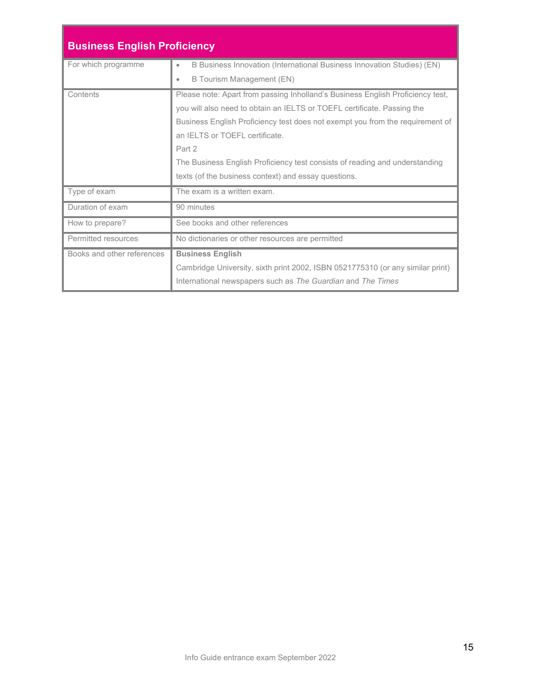| <b>Business English Proficiency</b> |                                                                                     |  |
|-------------------------------------|-------------------------------------------------------------------------------------|--|
| For which programme                 | B Business Innovation (International Business Innovation Studies) (EN)<br>$\bullet$ |  |
|                                     | B Tourism Management (EN)<br>$\bullet$                                              |  |
| Contents                            | Please note: Apart from passing Inholland's Business English Proficiency test,      |  |
|                                     | you will also need to obtain an IELTS or TOEFL certificate. Passing the             |  |
|                                     | Business English Proficiency test does not exempt you from the requirement of       |  |
|                                     | an IFI TS or TOFFL certificate.                                                     |  |
|                                     | Part 2                                                                              |  |
|                                     | The Business English Proficiency test consists of reading and understanding         |  |
|                                     | texts (of the business context) and essay questions.                                |  |
| Type of exam                        | The exam is a written exam.                                                         |  |
| Duration of exam                    | 90 minutes                                                                          |  |
| How to prepare?                     | See books and other references                                                      |  |
| Permitted resources                 | No dictionaries or other resources are permitted                                    |  |
| Books and other references          | <b>Business English</b>                                                             |  |
|                                     | Cambridge University, sixth print 2002, ISBN 0521775310 (or any similar print)      |  |
|                                     | International newspapers such as The Guardian and The Times                         |  |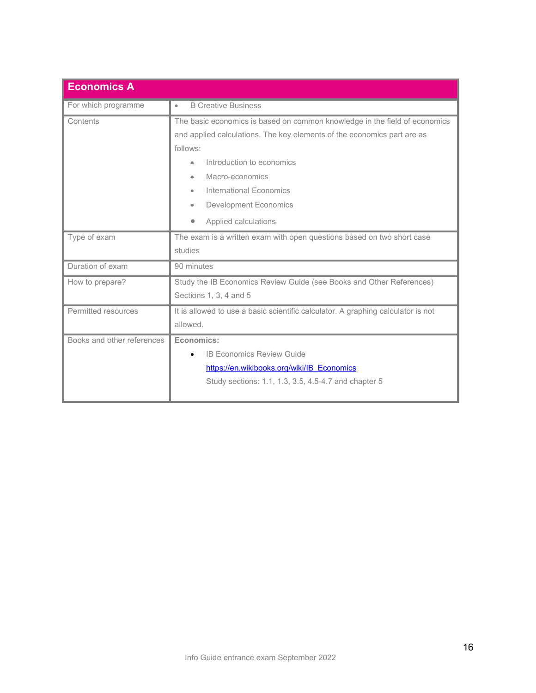| <b>Economics A</b>         |                                                                                  |
|----------------------------|----------------------------------------------------------------------------------|
| For which programme        | <b>B Creative Business</b><br>٠                                                  |
| Contents                   | The basic economics is based on common knowledge in the field of economics       |
|                            | and applied calculations. The key elements of the economics part are as          |
|                            | follows:                                                                         |
|                            | Introduction to economics                                                        |
|                            | Macro-economics<br>۰                                                             |
|                            | International Economics                                                          |
|                            | <b>Development Economics</b>                                                     |
|                            | Applied calculations                                                             |
| Type of exam               | The exam is a written exam with open questions based on two short case           |
|                            | studies                                                                          |
| Duration of exam           | 90 minutes                                                                       |
| How to prepare?            | Study the IB Economics Review Guide (see Books and Other References)             |
|                            | Sections 1, 3, 4 and 5                                                           |
| Permitted resources        | It is allowed to use a basic scientific calculator. A graphing calculator is not |
|                            | allowed.                                                                         |
| Books and other references | Economics:                                                                       |
|                            | <b>IB Economics Review Guide</b>                                                 |
|                            | https://en.wikibooks.org/wiki/IB Economics                                       |
|                            | Study sections: 1.1, 1.3, 3.5, 4.5-4.7 and chapter 5                             |
|                            |                                                                                  |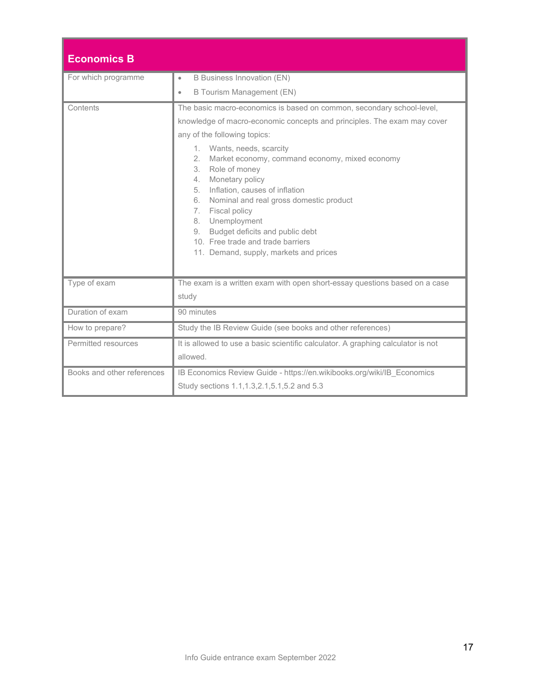| <b>Economics B</b>         |                                                                                                                                                                                                                                                                                                                                                                                                                                                                                                                                                                         |
|----------------------------|-------------------------------------------------------------------------------------------------------------------------------------------------------------------------------------------------------------------------------------------------------------------------------------------------------------------------------------------------------------------------------------------------------------------------------------------------------------------------------------------------------------------------------------------------------------------------|
| For which programme        | <b>B Business Innovation (EN)</b><br>$\bullet$                                                                                                                                                                                                                                                                                                                                                                                                                                                                                                                          |
|                            | <b>B Tourism Management (EN)</b><br>$\bullet$                                                                                                                                                                                                                                                                                                                                                                                                                                                                                                                           |
| Contents                   | The basic macro-economics is based on common, secondary school-level,<br>knowledge of macro-economic concepts and principles. The exam may cover<br>any of the following topics:<br>1. Wants, needs, scarcity<br>2.<br>Market economy, command economy, mixed economy<br>3. Role of money<br>Monetary policy<br>4.<br>Inflation, causes of inflation<br>5.<br>6. Nominal and real gross domestic product<br>7. Fiscal policy<br>8. Unemployment<br>Budget deficits and public debt<br>9.<br>10. Free trade and trade barriers<br>11. Demand, supply, markets and prices |
| Type of exam               | The exam is a written exam with open short-essay questions based on a case<br>study                                                                                                                                                                                                                                                                                                                                                                                                                                                                                     |
| Duration of exam           | 90 minutes                                                                                                                                                                                                                                                                                                                                                                                                                                                                                                                                                              |
| How to prepare?            | Study the IB Review Guide (see books and other references)                                                                                                                                                                                                                                                                                                                                                                                                                                                                                                              |
| Permitted resources        | It is allowed to use a basic scientific calculator. A graphing calculator is not<br>allowed.                                                                                                                                                                                                                                                                                                                                                                                                                                                                            |
| Books and other references | IB Economics Review Guide - https://en.wikibooks.org/wiki/IB Economics<br>Study sections 1.1, 1.3, 2.1, 5.1, 5.2 and 5.3                                                                                                                                                                                                                                                                                                                                                                                                                                                |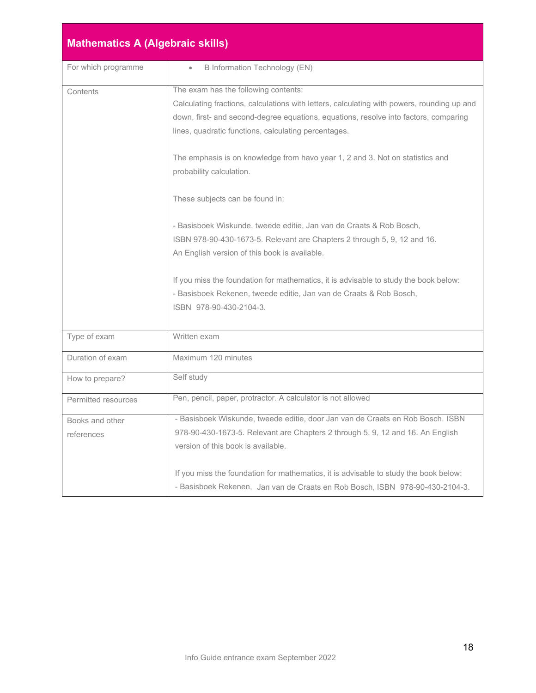| <b>Mathematics A (Algebraic skills)</b> |                                                                                                                                                                                                                                                                                    |
|-----------------------------------------|------------------------------------------------------------------------------------------------------------------------------------------------------------------------------------------------------------------------------------------------------------------------------------|
| For which programme                     | <b>B</b> Information Technology (EN)                                                                                                                                                                                                                                               |
| Contents                                | The exam has the following contents:<br>Calculating fractions, calculations with letters, calculating with powers, rounding up and<br>down, first- and second-degree equations, equations, resolve into factors, comparing<br>lines, quadratic functions, calculating percentages. |
|                                         | The emphasis is on knowledge from havo year 1, 2 and 3. Not on statistics and<br>probability calculation.                                                                                                                                                                          |
|                                         | These subjects can be found in:                                                                                                                                                                                                                                                    |
|                                         | - Basisboek Wiskunde, tweede editie, Jan van de Craats & Rob Bosch,<br>ISBN 978-90-430-1673-5. Relevant are Chapters 2 through 5, 9, 12 and 16.<br>An English version of this book is available.                                                                                   |
|                                         | If you miss the foundation for mathematics, it is advisable to study the book below:<br>- Basisboek Rekenen, tweede editie, Jan van de Craats & Rob Bosch,<br>ISBN 978-90-430-2104-3.                                                                                              |
| Type of exam                            | Written exam                                                                                                                                                                                                                                                                       |
| Duration of exam                        | Maximum 120 minutes                                                                                                                                                                                                                                                                |
| How to prepare?                         | Self study                                                                                                                                                                                                                                                                         |
| Permitted resources                     | Pen, pencil, paper, protractor. A calculator is not allowed                                                                                                                                                                                                                        |
| Books and other<br>references           | - Basisboek Wiskunde, tweede editie, door Jan van de Craats en Rob Bosch. ISBN<br>978-90-430-1673-5. Relevant are Chapters 2 through 5, 9, 12 and 16. An English<br>version of this book is available.                                                                             |
|                                         | If you miss the foundation for mathematics, it is advisable to study the book below:<br>- Basisboek Rekenen, Jan van de Craats en Rob Bosch, ISBN 978-90-430-2104-3.                                                                                                               |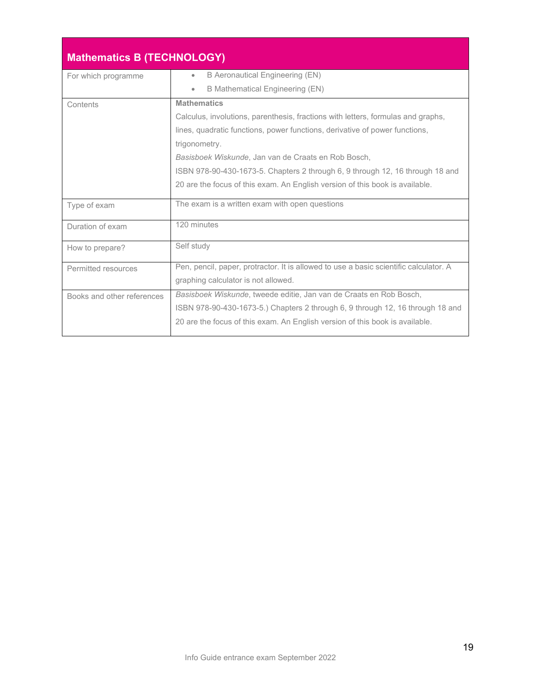| <b>Mathematics B (TECHNOLOGY)</b> |                                                                                       |
|-----------------------------------|---------------------------------------------------------------------------------------|
| For which programme               | B Aeronautical Engineering (EN)<br>۰                                                  |
|                                   | <b>B Mathematical Engineering (EN)</b><br>$\bullet$                                   |
| Contents                          | <b>Mathematics</b>                                                                    |
|                                   | Calculus, involutions, parenthesis, fractions with letters, formulas and graphs,      |
|                                   | lines, quadratic functions, power functions, derivative of power functions,           |
|                                   | trigonometry.                                                                         |
|                                   | Basisboek Wiskunde, Jan van de Craats en Rob Bosch,                                   |
|                                   | ISBN 978-90-430-1673-5. Chapters 2 through 6, 9 through 12, 16 through 18 and         |
|                                   | 20 are the focus of this exam. An English version of this book is available.          |
| Type of exam                      | The exam is a written exam with open questions                                        |
| Duration of exam                  | 120 minutes                                                                           |
| How to prepare?                   | Self study                                                                            |
| Permitted resources               | Pen, pencil, paper, protractor. It is allowed to use a basic scientific calculator. A |
|                                   | graphing calculator is not allowed.                                                   |
| Books and other references        | Basisboek Wiskunde, tweede editie, Jan van de Craats en Rob Bosch,                    |
|                                   | ISBN 978-90-430-1673-5.) Chapters 2 through 6, 9 through 12, 16 through 18 and        |
|                                   | 20 are the focus of this exam. An English version of this book is available.          |